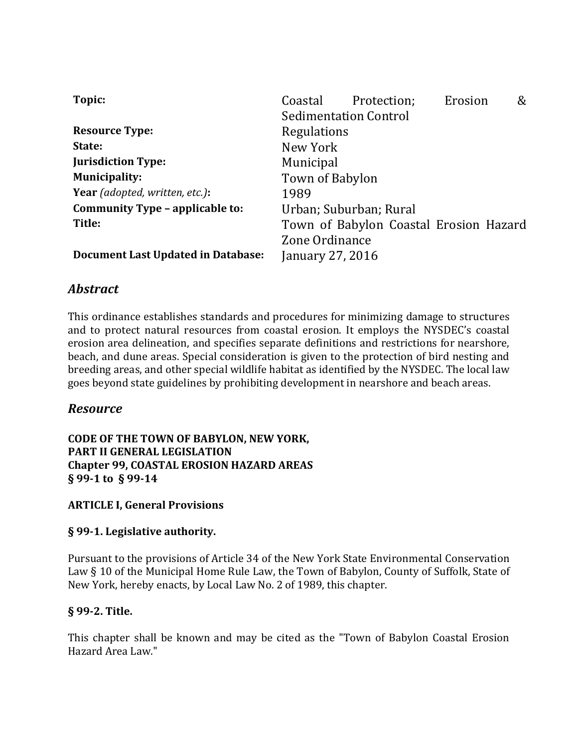| Topic:                                    | Coastal                      | Protection;                            | Erosion | & |
|-------------------------------------------|------------------------------|----------------------------------------|---------|---|
|                                           | <b>Sedimentation Control</b> |                                        |         |   |
| <b>Resource Type:</b>                     | Regulations                  |                                        |         |   |
| State:                                    | New York                     |                                        |         |   |
| <b>Jurisdiction Type:</b>                 | <b>Municipal</b>             |                                        |         |   |
| <b>Municipality:</b>                      | Town of Babylon              |                                        |         |   |
| Year (adopted, written, etc.):            | 1989                         |                                        |         |   |
| Community Type - applicable to:           |                              | Urban; Suburban; Rural                 |         |   |
| Title:                                    |                              | Town of Babylon Coastal Erosion Hazard |         |   |
|                                           | Zone Ordinance               |                                        |         |   |
| <b>Document Last Updated in Database:</b> | January 27, 2016             |                                        |         |   |

# *Abstract*

This ordinance establishes standards and procedures for minimizing damage to structures and to protect natural resources from coastal erosion. It employs the NYSDEC's coastal erosion area delineation, and specifies separate definitions and restrictions for nearshore, beach, and dune areas. Special consideration is given to the protection of bird nesting and breeding areas, and other special wildlife habitat as identified by the NYSDEC. The local law goes beyond state guidelines by prohibiting development in nearshore and beach areas.

# *Resource*

CODE OF THE TOWN OF BABYLON, NEW YORK, PART II GENERAL LEGISLATION Chapter 99, COASTAL EROSION HAZARD AREAS § 99-1 to § 99-14

## ARTICLE I, General Provisions

## § 99-1. Legislative authority.

Pursuant to the provisions of Article 34 of the New York State Environmental Conservation Law § 10 of the Municipal Home Rule Law, the Town of Babylon, County of Suffolk, State of New York, hereby enacts, by Local Law No. 2 of 1989, this chapter.

## § 99-2. Title.

This chapter shall be known and may be cited as the "Town of Babylon Coastal Erosion Hazard Area Law."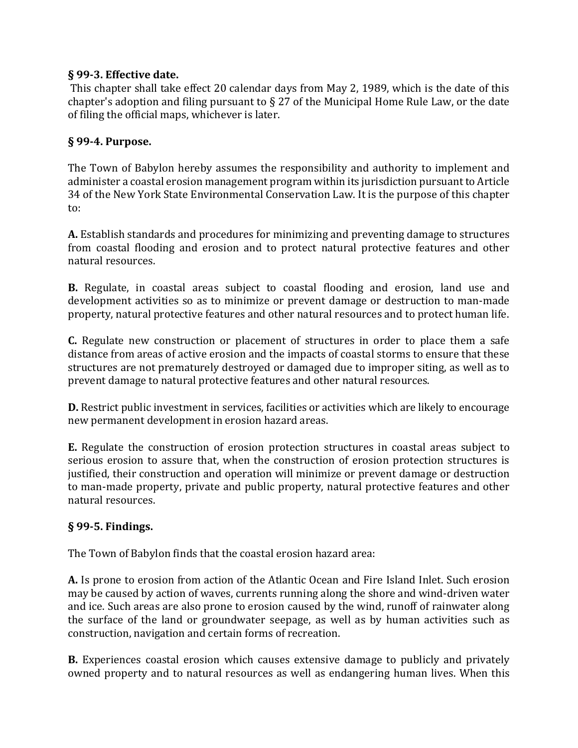#### § 99-3. Effective date.

This chapter shall take effect 20 calendar days from May 2, 1989, which is the date of this chapter's adoption and filing pursuant to § 27 of the Municipal Home Rule Law, or the date of filing the official maps, whichever is later.

## § 99-4. Purpose.

The Town of Babylon hereby assumes the responsibility and authority to implement and administer a coastal erosion management program within its jurisdiction pursuant to Article 34 of the New York State Environmental Conservation Law. It is the purpose of this chapter to:

A. Establish standards and procedures for minimizing and preventing damage to structures from coastal flooding and erosion and to protect natural protective features and other natural resources.

B. Regulate, in coastal areas subject to coastal flooding and erosion, land use and development activities so as to minimize or prevent damage or destruction to man-made property, natural protective features and other natural resources and to protect human life.

C. Regulate new construction or placement of structures in order to place them a safe distance from areas of active erosion and the impacts of coastal storms to ensure that these structures are not prematurely destroyed or damaged due to improper siting, as well as to prevent damage to natural protective features and other natural resources.

D. Restrict public investment in services, facilities or activities which are likely to encourage new permanent development in erosion hazard areas.

E. Regulate the construction of erosion protection structures in coastal areas subject to serious erosion to assure that, when the construction of erosion protection structures is justified, their construction and operation will minimize or prevent damage or destruction to man-made property, private and public property, natural protective features and other natural resources.

## § 99-5. Findings.

The Town of Babylon finds that the coastal erosion hazard area:

A. Is prone to erosion from action of the Atlantic Ocean and Fire Island Inlet. Such erosion may be caused by action of waves, currents running along the shore and wind-driven water and ice. Such areas are also prone to erosion caused by the wind, runoff of rainwater along the surface of the land or groundwater seepage, as well as by human activities such as construction, navigation and certain forms of recreation.

B. Experiences coastal erosion which causes extensive damage to publicly and privately owned property and to natural resources as well as endangering human lives. When this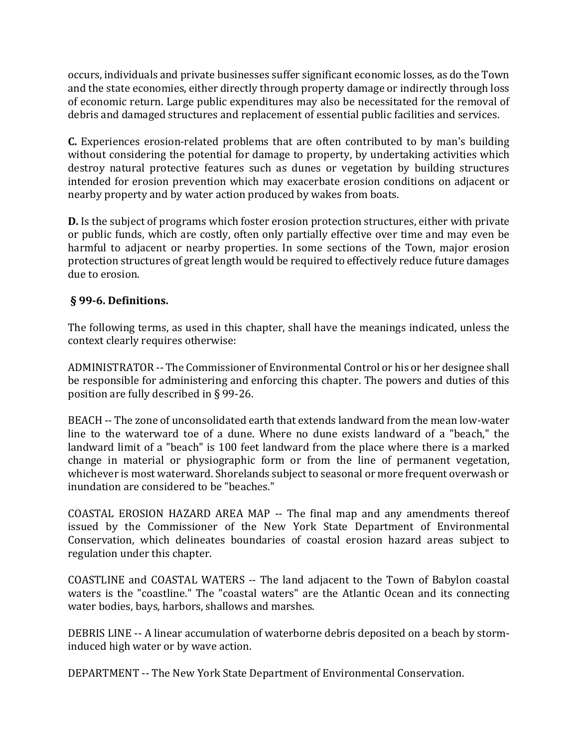occurs, individuals and private businesses suffer significant economic losses, as do the Town and the state economies, either directly through property damage or indirectly through loss of economic return. Large public expenditures may also be necessitated for the removal of debris and damaged structures and replacement of essential public facilities and services.

C. Experiences erosion-related problems that are often contributed to by man's building without considering the potential for damage to property, by undertaking activities which destroy natural protective features such as dunes or vegetation by building structures intended for erosion prevention which may exacerbate erosion conditions on adjacent or nearby property and by water action produced by wakes from boats.

D. Is the subject of programs which foster erosion protection structures, either with private or public funds, which are costly, often only partially effective over time and may even be harmful to adjacent or nearby properties. In some sections of the Town, major erosion protection structures of great length would be required to effectively reduce future damages due to erosion.

# § 99-6. Definitions.

The following terms, as used in this chapter, shall have the meanings indicated, unless the context clearly requires otherwise:

ADMINISTRATOR -- The Commissioner of Environmental Control or his or her designee shall be responsible for administering and enforcing this chapter. The powers and duties of this position are fully described in § 99-26.

BEACH -- The zone of unconsolidated earth that extends landward from the mean low-water line to the waterward toe of a dune. Where no dune exists landward of a "beach," the landward limit of a "beach" is 100 feet landward from the place where there is a marked change in material or physiographic form or from the line of permanent vegetation, whichever is most waterward. Shorelands subject to seasonal or more frequent overwash or inundation are considered to be "beaches."

COASTAL EROSION HAZARD AREA MAP -- The final map and any amendments thereof issued by the Commissioner of the New York State Department of Environmental Conservation, which delineates boundaries of coastal erosion hazard areas subject to regulation under this chapter.

COASTLINE and COASTAL WATERS -- The land adjacent to the Town of Babylon coastal waters is the "coastline." The "coastal waters" are the Atlantic Ocean and its connecting water bodies, bays, harbors, shallows and marshes.

DEBRIS LINE -- A linear accumulation of waterborne debris deposited on a beach by storminduced high water or by wave action.

DEPARTMENT -- The New York State Department of Environmental Conservation.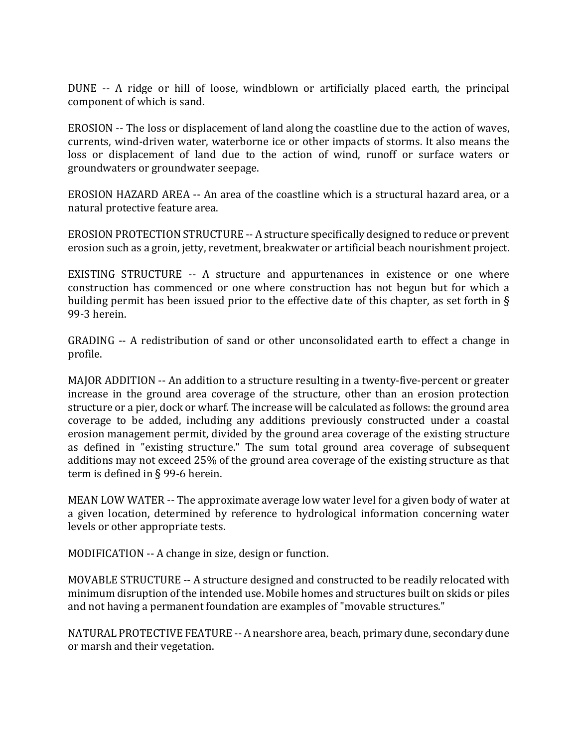DUNE -- A ridge or hill of loose, windblown or artificially placed earth, the principal component of which is sand.

EROSION -- The loss or displacement of land along the coastline due to the action of waves, currents, wind-driven water, waterborne ice or other impacts of storms. It also means the loss or displacement of land due to the action of wind, runoff or surface waters or groundwaters or groundwater seepage.

EROSION HAZARD AREA -- An area of the coastline which is a structural hazard area, or a natural protective feature area.

EROSION PROTECTION STRUCTURE -- A structure specifically designed to reduce or prevent erosion such as a groin, jetty, revetment, breakwater or artificial beach nourishment project.

EXISTING STRUCTURE -- A structure and appurtenances in existence or one where construction has commenced or one where construction has not begun but for which a building permit has been issued prior to the effective date of this chapter, as set forth in § 99-3 herein.

GRADING -- A redistribution of sand or other unconsolidated earth to effect a change in profile.

MAJOR ADDITION -- An addition to a structure resulting in a twenty-five-percent or greater increase in the ground area coverage of the structure, other than an erosion protection structure or a pier, dock or wharf. The increase will be calculated as follows: the ground area coverage to be added, including any additions previously constructed under a coastal erosion management permit, divided by the ground area coverage of the existing structure as defined in "existing structure." The sum total ground area coverage of subsequent additions may not exceed 25% of the ground area coverage of the existing structure as that term is defined in § 99-6 herein.

MEAN LOW WATER -- The approximate average low water level for a given body of water at a given location, determined by reference to hydrological information concerning water levels or other appropriate tests.

MODIFICATION -- A change in size, design or function.

MOVABLE STRUCTURE -- A structure designed and constructed to be readily relocated with minimum disruption of the intended use. Mobile homes and structures built on skids or piles and not having a permanent foundation are examples of "movable structures."

NATURAL PROTECTIVE FEATURE -- A nearshore area, beach, primary dune, secondary dune or marsh and their vegetation.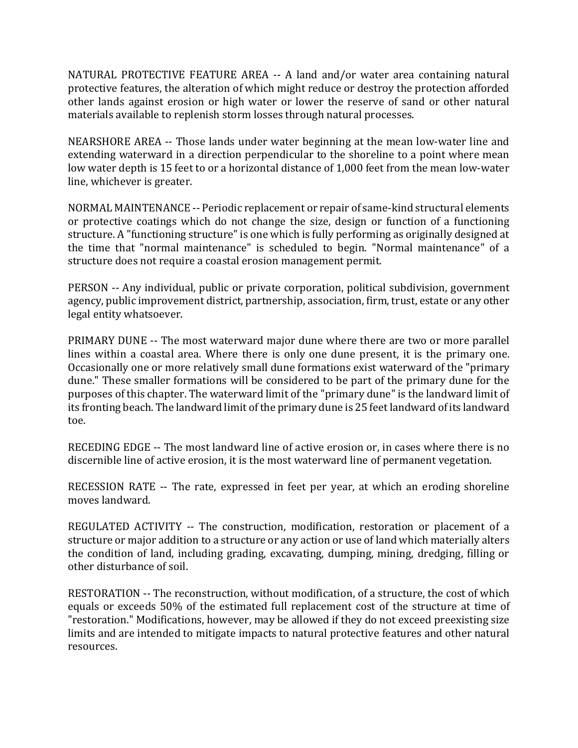NATURAL PROTECTIVE FEATURE AREA -- A land and/or water area containing natural protective features, the alteration of which might reduce or destroy the protection afforded other lands against erosion or high water or lower the reserve of sand or other natural materials available to replenish storm losses through natural processes.

NEARSHORE AREA -- Those lands under water beginning at the mean low-water line and extending waterward in a direction perpendicular to the shoreline to a point where mean low water depth is 15 feet to or a horizontal distance of 1,000 feet from the mean low-water line, whichever is greater.

NORMAL MAINTENANCE -- Periodic replacement or repair of same-kind structural elements or protective coatings which do not change the size, design or function of a functioning structure. A "functioning structure" is one which is fully performing as originally designed at the time that "normal maintenance" is scheduled to begin. "Normal maintenance" of a structure does not require a coastal erosion management permit.

PERSON -- Any individual, public or private corporation, political subdivision, government agency, public improvement district, partnership, association, firm, trust, estate or any other legal entity whatsoever.

PRIMARY DUNE -- The most waterward major dune where there are two or more parallel lines within a coastal area. Where there is only one dune present, it is the primary one. Occasionally one or more relatively small dune formations exist waterward of the "primary dune." These smaller formations will be considered to be part of the primary dune for the purposes of this chapter. The waterward limit of the "primary dune" is the landward limit of its fronting beach. The landward limit of the primary dune is 25 feet landward of its landward toe.

RECEDING EDGE -- The most landward line of active erosion or, in cases where there is no discernible line of active erosion, it is the most waterward line of permanent vegetation.

RECESSION RATE -- The rate, expressed in feet per year, at which an eroding shoreline moves landward.

REGULATED ACTIVITY -- The construction, modification, restoration or placement of a structure or major addition to a structure or any action or use of land which materially alters the condition of land, including grading, excavating, dumping, mining, dredging, filling or other disturbance of soil.

RESTORATION -- The reconstruction, without modification, of a structure, the cost of which equals or exceeds 50% of the estimated full replacement cost of the structure at time of "restoration." Modifications, however, may be allowed if they do not exceed preexisting size limits and are intended to mitigate impacts to natural protective features and other natural resources.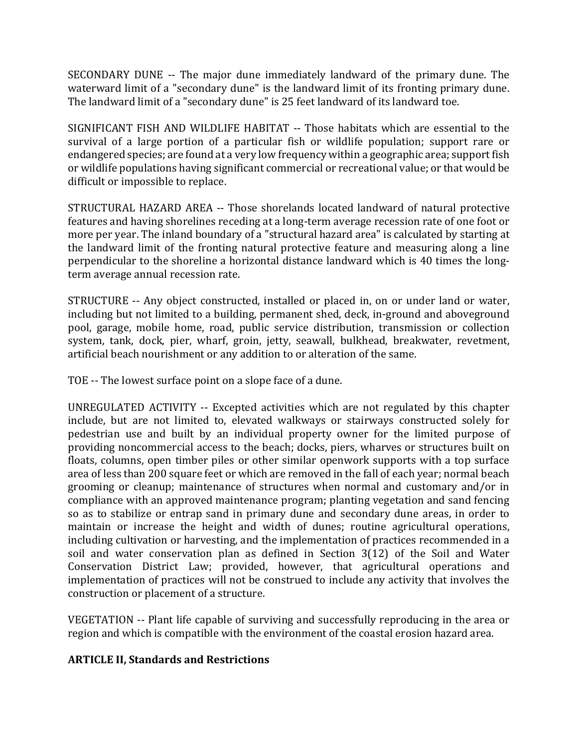SECONDARY DUNE -- The major dune immediately landward of the primary dune. The waterward limit of a "secondary dune" is the landward limit of its fronting primary dune. The landward limit of a "secondary dune" is 25 feet landward of its landward toe.

SIGNIFICANT FISH AND WILDLIFE HABITAT -- Those habitats which are essential to the survival of a large portion of a particular fish or wildlife population; support rare or endangered species; are found at a very low frequency within a geographic area; support fish or wildlife populations having significant commercial or recreational value; or that would be difficult or impossible to replace.

STRUCTURAL HAZARD AREA -- Those shorelands located landward of natural protective features and having shorelines receding at a long-term average recession rate of one foot or more per year. The inland boundary of a "structural hazard area" is calculated by starting at the landward limit of the fronting natural protective feature and measuring along a line perpendicular to the shoreline a horizontal distance landward which is 40 times the longterm average annual recession rate.

STRUCTURE -- Any object constructed, installed or placed in, on or under land or water, including but not limited to a building, permanent shed, deck, in-ground and aboveground pool, garage, mobile home, road, public service distribution, transmission or collection system, tank, dock, pier, wharf, groin, jetty, seawall, bulkhead, breakwater, revetment, artificial beach nourishment or any addition to or alteration of the same.

TOE -- The lowest surface point on a slope face of a dune.

UNREGULATED ACTIVITY -- Excepted activities which are not regulated by this chapter include, but are not limited to, elevated walkways or stairways constructed solely for pedestrian use and built by an individual property owner for the limited purpose of providing noncommercial access to the beach; docks, piers, wharves or structures built on floats, columns, open timber piles or other similar openwork supports with a top surface area of less than 200 square feet or which are removed in the fall of each year; normal beach grooming or cleanup; maintenance of structures when normal and customary and/or in compliance with an approved maintenance program; planting vegetation and sand fencing so as to stabilize or entrap sand in primary dune and secondary dune areas, in order to maintain or increase the height and width of dunes; routine agricultural operations, including cultivation or harvesting, and the implementation of practices recommended in a soil and water conservation plan as defined in Section 3(12) of the Soil and Water Conservation District Law; provided, however, that agricultural operations and implementation of practices will not be construed to include any activity that involves the construction or placement of a structure.

VEGETATION -- Plant life capable of surviving and successfully reproducing in the area or region and which is compatible with the environment of the coastal erosion hazard area.

## ARTICLE II, Standards and Restrictions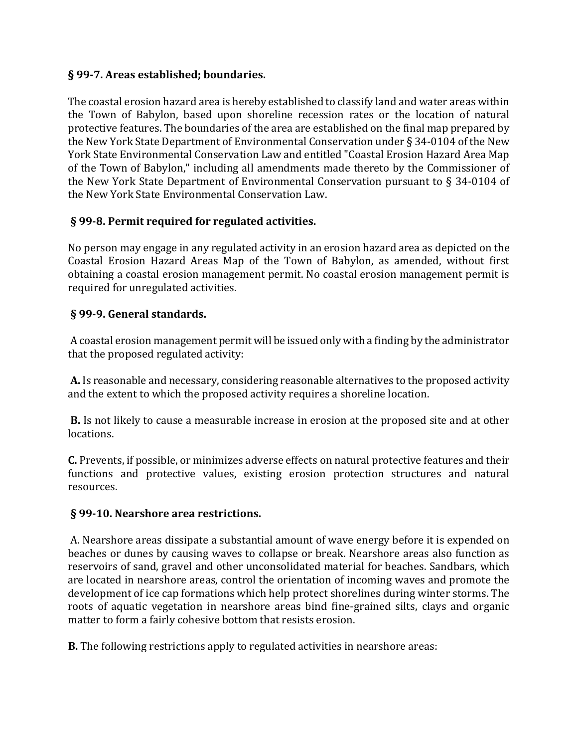#### § 99-7. Areas established; boundaries.

The coastal erosion hazard area is hereby established to classify land and water areas within the Town of Babylon, based upon shoreline recession rates or the location of natural protective features. The boundaries of the area are established on the final map prepared by the New York State Department of Environmental Conservation under § 34-0104 of the New York State Environmental Conservation Law and entitled "Coastal Erosion Hazard Area Map of the Town of Babylon," including all amendments made thereto by the Commissioner of the New York State Department of Environmental Conservation pursuant to § 34-0104 of the New York State Environmental Conservation Law.

## § 99-8. Permit required for regulated activities.

No person may engage in any regulated activity in an erosion hazard area as depicted on the Coastal Erosion Hazard Areas Map of the Town of Babylon, as amended, without first obtaining a coastal erosion management permit. No coastal erosion management permit is required for unregulated activities.

#### § 99-9. General standards.

A coastal erosion management permit will be issued only with a finding by the administrator that the proposed regulated activity:

A. Is reasonable and necessary, considering reasonable alternatives to the proposed activity and the extent to which the proposed activity requires a shoreline location.

B. Is not likely to cause a measurable increase in erosion at the proposed site and at other locations.

C. Prevents, if possible, or minimizes adverse effects on natural protective features and their functions and protective values, existing erosion protection structures and natural resources.

#### § 99-10. Nearshore area restrictions.

A. Nearshore areas dissipate a substantial amount of wave energy before it is expended on beaches or dunes by causing waves to collapse or break. Nearshore areas also function as reservoirs of sand, gravel and other unconsolidated material for beaches. Sandbars, which are located in nearshore areas, control the orientation of incoming waves and promote the development of ice cap formations which help protect shorelines during winter storms. The roots of aquatic vegetation in nearshore areas bind fine-grained silts, clays and organic matter to form a fairly cohesive bottom that resists erosion.

B. The following restrictions apply to regulated activities in nearshore areas: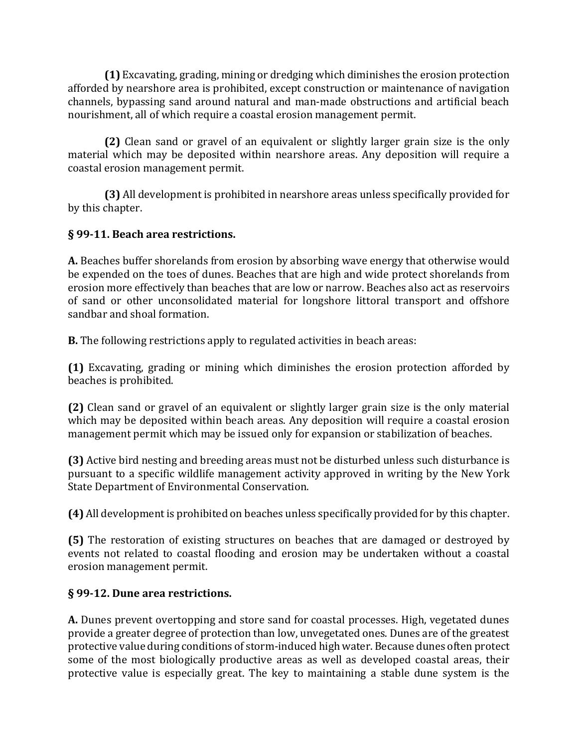(1) Excavating, grading, mining or dredging which diminishes the erosion protection afforded by nearshore area is prohibited, except construction or maintenance of navigation channels, bypassing sand around natural and man-made obstructions and artificial beach nourishment, all of which require a coastal erosion management permit.

(2) Clean sand or gravel of an equivalent or slightly larger grain size is the only material which may be deposited within nearshore areas. Any deposition will require a coastal erosion management permit.

(3) All development is prohibited in nearshore areas unless specifically provided for by this chapter.

## § 99-11. Beach area restrictions.

A. Beaches buffer shorelands from erosion by absorbing wave energy that otherwise would be expended on the toes of dunes. Beaches that are high and wide protect shorelands from erosion more effectively than beaches that are low or narrow. Beaches also act as reservoirs of sand or other unconsolidated material for longshore littoral transport and offshore sandbar and shoal formation.

B. The following restrictions apply to regulated activities in beach areas:

(1) Excavating, grading or mining which diminishes the erosion protection afforded by beaches is prohibited.

(2) Clean sand or gravel of an equivalent or slightly larger grain size is the only material which may be deposited within beach areas. Any deposition will require a coastal erosion management permit which may be issued only for expansion or stabilization of beaches.

(3) Active bird nesting and breeding areas must not be disturbed unless such disturbance is pursuant to a specific wildlife management activity approved in writing by the New York State Department of Environmental Conservation.

(4) All development is prohibited on beaches unless specifically provided for by this chapter.

(5) The restoration of existing structures on beaches that are damaged or destroyed by events not related to coastal flooding and erosion may be undertaken without a coastal erosion management permit.

## § 99-12. Dune area restrictions.

A. Dunes prevent overtopping and store sand for coastal processes. High, vegetated dunes provide a greater degree of protection than low, unvegetated ones. Dunes are of the greatest protective value during conditions of storm-induced high water. Because dunes often protect some of the most biologically productive areas as well as developed coastal areas, their protective value is especially great. The key to maintaining a stable dune system is the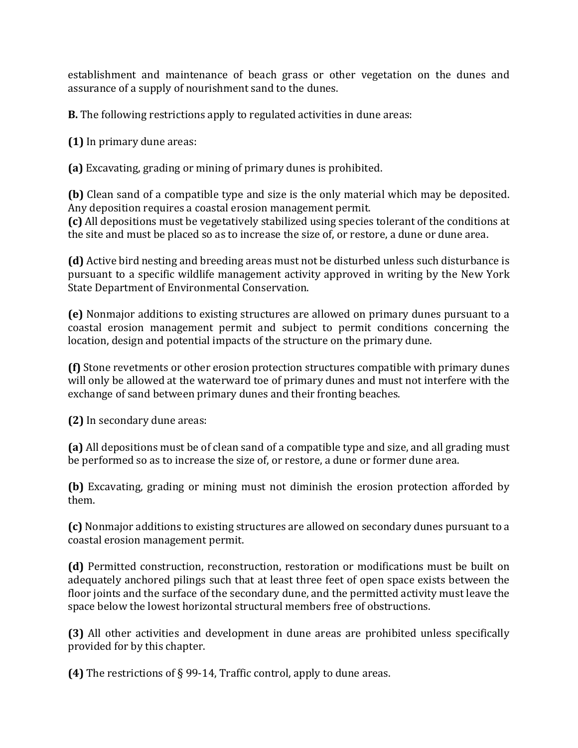establishment and maintenance of beach grass or other vegetation on the dunes and assurance of a supply of nourishment sand to the dunes.

B. The following restrictions apply to regulated activities in dune areas:

(1) In primary dune areas:

(a) Excavating, grading or mining of primary dunes is prohibited.

(b) Clean sand of a compatible type and size is the only material which may be deposited. Any deposition requires a coastal erosion management permit.

(c) All depositions must be vegetatively stabilized using species tolerant of the conditions at the site and must be placed so as to increase the size of, or restore, a dune or dune area.

(d) Active bird nesting and breeding areas must not be disturbed unless such disturbance is pursuant to a specific wildlife management activity approved in writing by the New York State Department of Environmental Conservation.

(e) Nonmajor additions to existing structures are allowed on primary dunes pursuant to a coastal erosion management permit and subject to permit conditions concerning the location, design and potential impacts of the structure on the primary dune.

(f) Stone revetments or other erosion protection structures compatible with primary dunes will only be allowed at the waterward toe of primary dunes and must not interfere with the exchange of sand between primary dunes and their fronting beaches.

(2) In secondary dune areas:

(a) All depositions must be of clean sand of a compatible type and size, and all grading must be performed so as to increase the size of, or restore, a dune or former dune area.

(b) Excavating, grading or mining must not diminish the erosion protection afforded by them.

(c) Nonmajor additions to existing structures are allowed on secondary dunes pursuant to a coastal erosion management permit.

(d) Permitted construction, reconstruction, restoration or modifications must be built on adequately anchored pilings such that at least three feet of open space exists between the floor joints and the surface of the secondary dune, and the permitted activity must leave the space below the lowest horizontal structural members free of obstructions.

(3) All other activities and development in dune areas are prohibited unless specifically provided for by this chapter.

(4) The restrictions of § 99-14, Traffic control, apply to dune areas.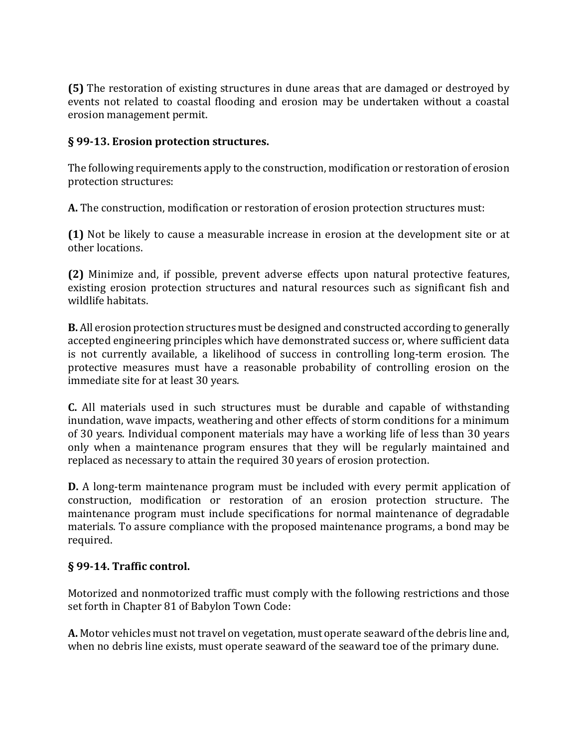(5) The restoration of existing structures in dune areas that are damaged or destroyed by events not related to coastal flooding and erosion may be undertaken without a coastal erosion management permit.

#### § 99-13. Erosion protection structures.

The following requirements apply to the construction, modification or restoration of erosion protection structures:

A. The construction, modification or restoration of erosion protection structures must:

(1) Not be likely to cause a measurable increase in erosion at the development site or at other locations.

(2) Minimize and, if possible, prevent adverse effects upon natural protective features, existing erosion protection structures and natural resources such as significant fish and wildlife habitats.

B. All erosion protection structures must be designed and constructed according to generally accepted engineering principles which have demonstrated success or, where sufficient data is not currently available, a likelihood of success in controlling long-term erosion. The protective measures must have a reasonable probability of controlling erosion on the immediate site for at least 30 years.

C. All materials used in such structures must be durable and capable of withstanding inundation, wave impacts, weathering and other effects of storm conditions for a minimum of 30 years. Individual component materials may have a working life of less than 30 years only when a maintenance program ensures that they will be regularly maintained and replaced as necessary to attain the required 30 years of erosion protection.

D. A long-term maintenance program must be included with every permit application of construction, modification or restoration of an erosion protection structure. The maintenance program must include specifications for normal maintenance of degradable materials. To assure compliance with the proposed maintenance programs, a bond may be required.

## § 99-14. Traffic control.

Motorized and nonmotorized traffic must comply with the following restrictions and those set forth in Chapter 81 of Babylon Town Code:

A. Motor vehicles must not travel on vegetation, must operate seaward of the debris line and, when no debris line exists, must operate seaward of the seaward toe of the primary dune.